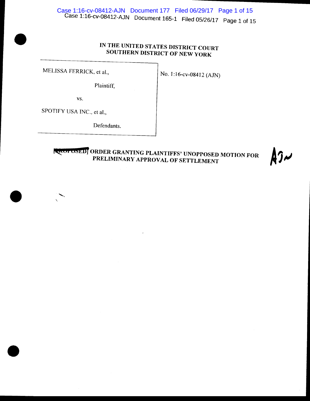# IN THE UNITED STATES DISTRICT COURT SOUTHERN DISTRICT OF NEW YORK

MELISSA FERRICK, et al.,  $\vert$  No. 1:16-cv-08412 (AJN)

•

•

•

Plaintiff,

vs.

SPOTJFY USA INC., et al.,

'

Defendants.

**[ACOLOSED]** ORDER GRANTING PLAINTIFFS' UNOPPOSED MOTION FOR PRELIMINARY APPROVAL OF SETTLEMENT

 $\mathfrak{f}$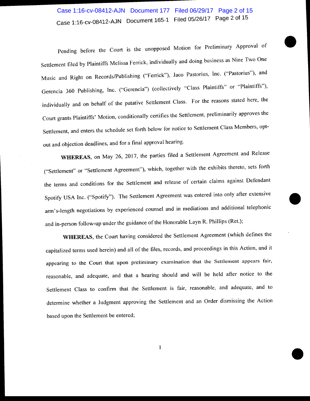# ............ ------------------ Case 1:16-cv-08412-AJN Document 177 Filed 06/29/17 Page 2 of 15Case 1:16-cv-08412-AJN Document 165-1 Filed 05/26/17 Page 2 of 15

•

•

•

Pending before the Court is the unopposed Motion for Preliminary Approval of Settlement filed by Plaintiffs Melissa Ferrick, individually and doing business as Nine Two One Music and Right on Records/Publishing ("Fenick"), Jaco Pastorius, Inc. ("Pastorius"), and Gerencia 360 Publishing, Inc. ("Gerencia") (collectively "Class Plaintiffs" or "Plaintiffs"), individually and on behalf of the putative Settlement Class. For the reasons stated here, the Court grants Plaintiffs' Motion, conditionally certifies the Settlement, preliminarily approves the Settlement, and enters the schedule set forth below for notice to Settlement Class Members, optout and objection deadlines, and for a final approval hearing.

**WHEREAS,** on May 26, 2017, the parties filed a Settlement Agreement and Release ("Settlement" or "Settlement Agreement"), which, together with the exhibits thereto, sets forth the terms and conditions for the Settlement and release of certain claims against Defendant Spotify USA Inc. ("Spotify"). The Settlement Agreement was entered into only after extensive arm's-length negotiations by experienced counsel and in mediations and additional telephonic and in-person follow-up under the guidance of the Honorable Layn R. Phillips (Ret.);

**WHEREAS,** the Court having considered the Settlement Agreement (which defines the capitalized terms used herein) and all of the files, records, and proceedings in this Action, and it appearing to the Court that upon preliminary examination that the Settlement appears fair, reasonable, and adequate, and that a hearing should and will be held after notice to the Settlement Class to confirm that the Settlement is fair, reasonable, and adequate, and to determine whether a Judgment approving the Settlement and an Order dismissing the Action based upon the Settlement be entered;

1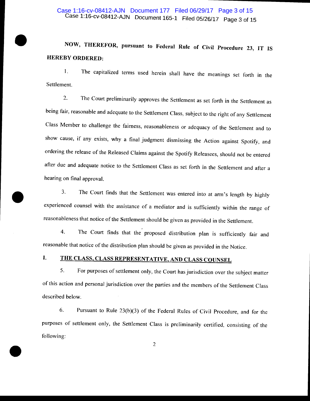#### Case 1:16-cv-08412-AJN Document 165-1 Filed 05/26/17 Page 3 of 15 Case 1:16-cv-08412-AJN Document 177 Filed 06/29/17 Page 3 of 15

# • NOW, THEREFOR, pursuant to Federal Rule of Civil Procedure 23, IT IS HEREBY ORDERED:

1. The capitalized terms used herein shall have the meanings set forth in the Settlement.

2. The Court preliminarily approves the Settlement as set forth in the Settlement as being fair, reasonable and adequate to the Settlement Class, subject to the right of any Settlement Class Member to challenge the fairness, reasonableness or adequacy of the Settlement and to show cause, if any exists, why a final judgment dismissing the Action against Spotity, and ordering the release of the Released Claims against the Spotify Releasees, should not be entered after due and adequate notice to the Settlement Class as set forth in the Settlement and after a hearing on final approval.

3. The Court finds that the Settlement was entered into at arm's length by highly experienced counsel with the assistance of a mediator and is sufficiently within the range of reasonableness that nation of the Settlement i experienced counsel with the assistance of a mediator and is sufficiently within the range of reasonableness that notice of the Settlement should be given as provided in the Settlement.

> 4. The Court finds that the proposed distribution plan is sufficiently fair and reasonable that notice of the distribution plan should be given as provided in the Notice.

# I. THE CLASS, CLASS REPRESENTATIVE, AND CLASS COUNSEL

•

5. For purposes of settlement only, the Court has jurisdiction over the subject matter of this action and personal jurisdiction over the parties and the members of the Settlement Class described below.

6. Pursuant to Rule 23(b)(3) of the Federal Rules of Civil Procedure, and for the purposes of settlement only, the Settlement Class is preliminarily certified, consisting of the following: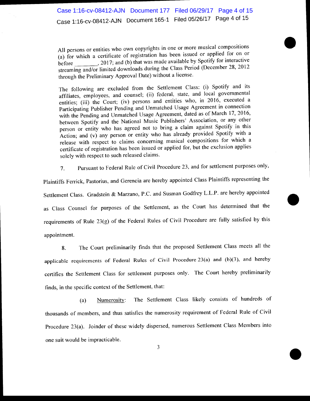All persons or entities who own copyrights in one or more musical compositions (a) for which a certificate of registration has been issued or applied for on or before \_\_\_\_\_\_\_\_\_, 2017; and (b) that was made available by Spotify for interactive streaming and/or limited downloads during the Class Period (December 28, 2012 through the Preliminary Approval Date) without a license.

•

•

•

The following are excluded from the Settlement Class: (i) Spotify and its affiliates, employees, and counsel; (ii) federal, state, and local governmental entities; (iii) the Court; (iv) persons and entities who, in 2016, executed a Participating Publisher Pending and Unmatched Usage Agreement in connection with the Pending and Unmatched Usage Agreement, dated as of March 17, 2016, between Spotify and the National Music Publishers' Association, or any other person or entity who has agreed not to bring a claim against Spotify in this Action; and (v) any person or entity who has already provided Spotify with a release with respect to claims concerning musical compositions for which a certificate of registration has been issued or applied for, but the exclusion applies solely with respect to such released claims.

7. Pursuant to Federal Rule of Civil Procedure 23, and for settlement purposes only,

Plaintiffs Ferrick, Pastorius, and Gerencia are hereby appointed Class Plaintiffs representing the Settlement Class. Gradstein & Marzano, P.C. and Susman Godfrey L.L.P. are hereby appointed as Class Counsel for purposes of the Settlement, as the Court has determined that the requirements of Rule 23(g) of the Federal Rules of Civil Procedure are fully satisfied by this appointment.

8. The Court preliminarily finds that the proposed Settlement Class meets all the applicable requirements of Federal Rules of Civil Procedure 23(a) and (b)(3), and hereby certifies the Settlement Class for settlement purposes only. The Court hereby preliminarily finds, in the specific context of the Settlement, that:

(a) Numerosity: The Settlement Class likely consists of hundreds of thousands of members, and thus satisfies the numerosity requirement of Federal Rule of Civil Procedure 23(a). Joinder of these widely dispersed, numerous Settlement Class Members into one suit would be impracticable.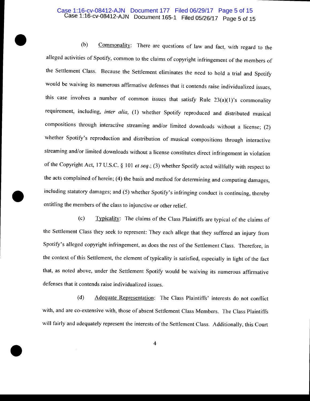#### Case 1:16-cv-08412-AJN Document 165-1 Filed 05/26/17 Page 5 of 15 Case 1:16-cv-08412-AJN Document 177 Filed 06/29/17 Page 5 of 15

•

•

•

(b) Commonality: There are questions of law and fact, with regard to the alleged activities of Spotify, common to the claims of copyright infringement of the members of the Settlement Class. Because the Settlement eliminates the need to hold a trial and Spotify would be waiving its numerous affirmative defenses that it contends raise individualized issues, this case involves a number of common issues that satisfy Rule  $23(a)(1)$ 's commonality requirement, including, *inter alia*, (1) whether Spotify reproduced and distributed musical compositions through interactive streaming and/or limited downloads without a license; (2) whether Spotify's reproduction and distribution of musical compositions through interactive streaming and/or limited downloads without a license constitutes direct infringement in violation of the Copyright Act, 17 U.S.C. § 101 et seq.; (3) whether Spotify acted willfully with respect to the acts complained of herein; (4) the basis and method for determining and computing damages, including statutory damages; and (5) whether Spotify's infringing conduct is continuing, thereby entitling the members of the class to injunctive or other relief.

(c) Typicality: The claims of the Class Plaintiffs are typical of the claims of the Settlement Class they seek to represent: They each allege that they suffered an injury from Spotify's alleged copyright infringement, as does the rest of the Settlement Class. Therefore, in the context of this Settlement, the element of typicality is satisfied, especially in light of the fact that, as noted above, under the Settlement Spotify would be waiving its numerous affirmative defenses that it contends raise individualized issues.

(d) Adequate Representation: The Class Plaintiffs' interests do not conflict with, and are co-extensive with, those of absent Settlement Class Members. The Class Plaintiffs will fairly and adequately represent the interests of the Settlement Class. Additionally, this Court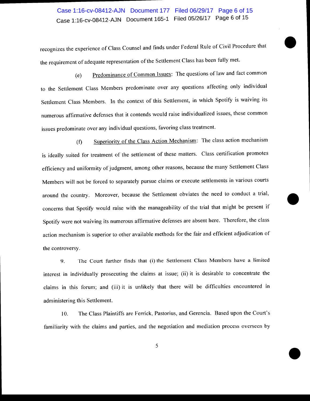### Case 1:16-cv-08412-AJN Document 165-1 Filed 05/26/17 Page 6 of 15 Case 1:16-cv-08412-AJN Document 177 Filed 06/29/17 Page 6 of 15

recognizes the experience of Class Counsel and finds under Federal Rule of Civil Procedure that the requirement of adequate representation of the Settlement Class has been fully met.

•

•

•

(e) Predominance of Common Issues: The questions of law and fact common to the Settlement Class Members predominate over any questions affecting only individual Settlement Class Members. In the context of this Settlement, in which Spotify is waiving its numerous affirmative defenses that it contends would raise individualized issues, these common issues predominate over any individual questions, favoring class treatment.

(f) Superiority of the Class Action Mechanism: The class action mechanism is ideally suited for treatment of the settlement of these matters. Class certification promotes efficiency and uniformity of judgment, among other reasons, because the many Settlement Class Members will not be forced to separately pursue claims or execute settlements in various courts around the country. Moreover, because the Settlement obviates the need to conduct a trial, concerns that Spotify would raise with the manageability of the trial that might be present if Spotify were not waiving its numerous affirmative defenses are absent here. Therefore, the class action mechanism is superior to other available methods for the fair and efficient adjudication of the controversy.

9. The Court further finds that (i) the Settlement Class Members have a limited interest in individually prosecuting the claims at issue; (ii) it is desirable to concentrate the claims in this forum; and (iii) it is unlikely that there will be difficulties encountered in administering this Settlement.

10. The Class Plaintiffs are Ferrick, Pastorius, and Gerencia. Based upon the Court's familiarity with the claims and parties, and the negotiation and mediation process overseen by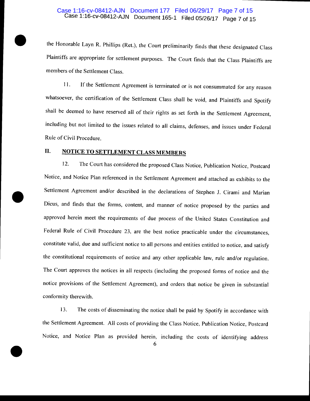#### Case 1:16-cv-08412-AJN Document 165-1 Filed 05/26/17 Page 7 of 15 Case 1:16-cv-08412-AJN Document 177 Filed 06/29/17 Page 7 of 15

the Honorable Layn R. Phillips (Ret.), the Court preliminarily finds that these designated Class Plaintiffs are appropriate for settlement purposes. The Court finds that the Class Plaintiffs are members of the Settlement Class.

II. If the Settlement Agreement is terminated or is not consummated for any reason whatsoever, the certification of the Settlement Class shall be void, and Plaintiffs and Spotify shall be deemed to have reserved all of their rights as set forth in the Settlement Agreement, including but not limited to the issues related to all claims, defenses, and issues under Federal Rule of Civil Procedure.

#### II. NOTICE TO SETTLEMENT CLASS MEMBERS

•

•

•

I2. The Court has considered the proposed Class Notice, Publication Notice, Postcard Notice, and Notice Plan referenced in the Settlement Agreement and attached as exhibits to the Settlement Agreement and/or described in the declarations of Stephen J. Cirami and Marian Dicus, and finds that the forms, content, and manner of notice proposed by the parties and approved herein meet the requirements of due process of the United States Constitution and Federal Rule of Civil Procedure 23, are the best notice practicable under the circumstances, constitute valid, due and sufficient notice to all persons and entities entitled to notice, and satisfy the constitutional requirements of notice and any other applicable law, rule and/or regulation. The Court approves the notices in all respects (including the proposed forms of notice and the notice provisions of the Settlement Agreement), and orders that notice be given in substantial conformity therewith.

13. The costs of disseminating the notice shall be paid by Spotify in accordance with the Settlement Agreement. All costs of providing the Class Notice, Publication Notice, Postcard Notice, and Notice Plan as provided herein, including the costs of identifying address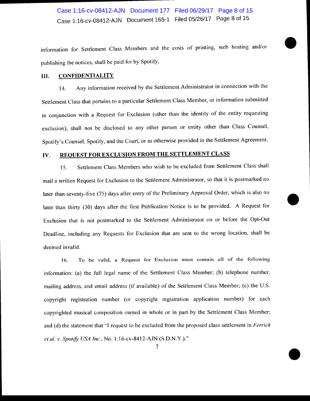# Case 1:16-cv-08412-AJN Document 165-1 Filed 05/26/17 Page 8 of 15 Case 1:16-cv-08412-AJN Document 177 Filed 06/29/17 Page 8 of 15

information for Settlement Class Members and the costs of printing, web hosting and/or publishing the notices, shall be paid for by Spotify.

•

•

•

#### Ill. CONFIDENTIALITY

14. Any information received by the Settlement Administrator in connection with the Settlement Class that pertains to a particular Settlement Class Member, or information submitted in conjunction with a Request for Exclusion (other than the identity of the entity requesting exclusion), shall not be disclosed to any other person or entity other than Class Counsel, Spotify's Counsel, Spotify, and the Court, or as otherwise provided in the Settlement Agreement.

#### IV. REQUEST FOR EXCLUSION FROM THE SETTLEMENT CLASS

15. Settlement Class Members who wish to be excluded from Settlement Class shall mail a written Request for Exclusion to the Settlement Administrator, so that it is postmarked no later than seventy-five (75) days after entry of the Preliminary Approval Order, which is also no later than thirty (30) days after the first Publication Notice is to be provided. A Request for Exclusion that is not postmarked to the Settlement Administrator on or before the Opt-Out Deadline, including any Requests for Exclusion that are sent to the wrong location, shall be deemed invalid.

16. To be valid, a Request for Exclusion must contain all of the following information: (a) the full legal name of the Settlement Class Member; (b) telephone number, mailing address, and email address (if available) of the Settlement Class Member; (c) the U.S. copyright registration number (or copyright registration application number) for each copyrighted musical composition owned in whole or in part by the Settlement Class Member; and (d) the statement that "I request to be excluded from the proposed class settlement in *Ferrick et al. v. Spotify USA Inc., No.* 1:16-cv-8412-AJN (S.D.N.Y.)."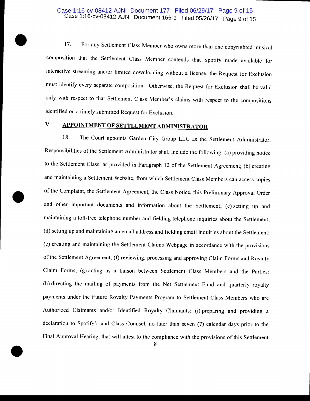#### Case 1:16-cv-08412-AJN Document 165-1 Filed 05/26/17 Page 9 of 15 Case 1:16-cv-08412-AJN Document 177 Filed 06/29/17 Page 9 of 15

17. For any Settlement Class Member who owns more than one copyrighted musical composition that the Settlement Class Member contends that Spotify made available for interactive streaming and/or limited downloading without a license, the Request for Exclusion must identify every separate composition. Otherwise, the Request for Exclusion shall be valid only with respect to that Settlement Class Member's claims with respect to the compositions identified on a timely submitted Request for Exclusion.

#### **V. APPOINTMENT OF SETTLEMENT ADMINISTRATOR**

•

•

•

18. The Court appoints Garden City Group LLC as the Settlement Administrator. Responsibilities of the Settlement Administrator shall include the following: (a) providing notice to the Settlement Class, as provided in Paragraph 12 of the Settlement Agreement; (b) creating and maintaining a Settlement Website, from which Settlement Class Members can access copies of the Complaint, the Settlement Agreement, the Class Notice, this Preliminary Approval Order and other important documents and information about the Settlement; (c) setting up and maintaining a toll-free telephone number and fielding telephone inquiries about the Settlement; (d) setting up and maintaining an email address and fielding email inquiries about the Settlement; (e) creating and maintaining the Settlement Claims Webpage in accordance with the provisions of the Settlement Agreement; (f) reviewing, processing and approving Claim Forms and Royalty Claim Forms; (g) acting as a liaison between Settlement Class Members and the Parties; (h) directing the mailing of payments from the Net Settlement Fund and quarterly royalty payments under the Future Royalty Payments Program to Settlement Class Members who are Authorized Claimants and/or Identified Royalty Claimants; (i) preparing and providing a declaration to Spotify's and Class Counsel, no later than seven (7) calendar days prior to the Final Approval Hearing, that will attest to the compliance with the provisions of this Settlement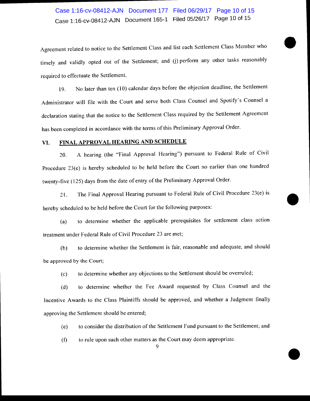# Case 1:16-cv-08412-AJN Document 165-1 Filed 05/26117 Page 10 of 15 Case 1:16-cv-08412-AJN Document 177 Filed 06/29/17 Page 10 of 15

Agreement related to notice to the Settlement Class and list each Settlement Class Member who • timely and validly opted out of the Settlement; and (j) perform any other tasks reasonably required to effectuate the Settlement.

19. No later than ten (10) calendar days before the objection deadline, the Settlement Administrator will file with the Court and serve both Class Counsel and Spotify's Counsel a declaration stating that the notice to the Settlement Class required by the Settlement Agreement has been completed in accordance with the terms of this Preliminary Approval Order.

#### VI. FINAL APPROVAL HEARING AND SCHEDULE

20. A hearing (the "Final Approval Hearing") pursuant to Federal Rule of Civil Procedure 23(e) is hereby scheduled to be held before the Court no earlier than one hundred twenty-five (125) days from the date of entry of the Preliminary Approval Order.

21. The Final Approval Hearing pursuant to Federal Rule of Civil Procedure 23(e) is 21. The Final Approval Hearing pursuant to Federal Rule of Civil Procedure 23(e) is<br>hereby scheduled to be held before the Court for the following purposes:

(a) to determine whether the applicable prerequisites for settlement class action treatment under Federal Rule of Civil Procedure 23 are met;

(b) to determine whether the Settlement is fair, reasonable and adequate, and should be approved by the Court;

(c) to determine whether any objections to the Settlement should be overruled;

(d) to determine whether the Fee Award requested by Class Counsel and the Incentive Awards to the Class Plaintiffs should be approved, and whether a Judgment finally approving the Settlement should be entered;

(e) to consider the distribution of the Settlement Fund pursuant to the Settlement; and

•

(f) to rule upon such other matters as the Court may deem appropriate.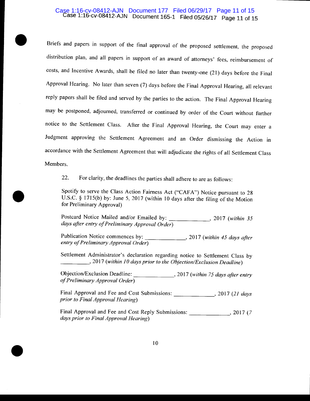#### Case 1:16-cv-08412-AJN Document 165-1 Filed 05/26/17 Page 11 of 15 Case 1:16-cv-08412-AJN Document 177 Filed 06/29/17 Page 11 of 15

•

•

•

Briefs and papers in support of the final approval of the proposed settlement, the proposed distribution plan, and all papers in support of an award of attorneys' fees, reimbursement of costs, and Incentive Awards, shall be filed no later than twenty-one (21) days before the Final Approval Hearing. No later than seven (7) days before the Final Approval Hearing, all relevant reply papers shall be filed and served by the parties to the action. The Final Approval Hearing may be postponed, adjourned, transferred or continued by order of the Court without further notice to the Settlement Class. After the Final Approval Hearing, the Court may enter a Judgment approving the Settlement Agreement and an Order dismissing the Action in accordance with the Settlement Agreement that will adjudicate the rights of all Settlement Class Members.

22. For clarity, the deadlines the parties shall adhere to are as follows:

Spotify to serve the Class Action Fairness Act ("CAFA") Notice pursuant to 28 U.S.C. § 1715(b) by: June 5, 2017 (within 10 days after the filing of the Motion for Preliminary Approval)

Postcard Notice Mailed and/or Emailed by: \_\_\_\_\_\_\_\_\_\_\_\_\_\_, 2017 *(within 35 days cifier entry of Preliminary Approval Order)* 

Publication Notice commences by: \_\_\_\_\_\_\_ , 2017 *(within* 45 *days after entry of Preliminary Approval Order)* 

Settlement Administrator's declaration regarding notice to Settlement Class by *\_\_\_\_ \_:)* 2017 *(within 10 days prior to the Objection/Exclusion Deadline)* 

Objection/Exclusion Deadline: , 2017 *(within 75 days after entry of Preliminary Approval Order)* 

Final Approval and Fee and Cost Submissions: \_\_\_\_\_\_\_\_\_\_\_\_\_\_\_\_\_, 2017 (21 days *prior to Final Approval Hearing)* 

Final Approval and Fee and Cost Reply Submissions: \_\_\_\_\_\_\_\_\_\_\_\_ , 2017 (7) *days prior to Final Approval Hearing)*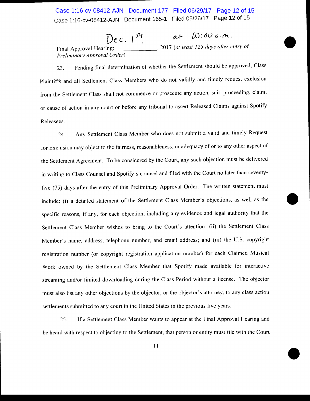Case 1:16-cv-08412-AJN Document 165-1 Filed 05/26/17 Page 12 of 15 Case 1:16-cv-08412-AJN Document 177 Filed 06/29/17 Page 12 of 15

 $Dec.$   $1^{st}$   $at$   $(0.100 a.m.$ Final Approval Hearing: \_\_\_\_\_\_ , 2017 *(at least 125 days after entry of Pec.*  $\begin{matrix} 5^4 & a+10:00 \ a \cdot m \end{matrix}$ <br>Final Approval Hearing: 2017 (at least 125 days after entry of<br>*Preliminary Approval Order*)

23. Pending final determination of whether the Settlement should be approved, Class Plaintiffs and all Settlement Class Members who do not validly and timely request exclusion from the Settlement Class shall not commence or prosecute any action, suit, proceeding, claim, or cause of action in any court or before any tribunal to assert Released Claims against Spotify Releasees.

24. Any Settlement Class Member who does not submit a valid and timely Request for Exclusion may object to the fairness, reasonableness, or adequacy of or to any other aspect of the Settlement Agreement. To be considered by the Court, any such objection must be delivered in writing to Class Counsel and Spotify's counsel and filed with the Court no later than seventyfive (75) days after the entry of this Preliminary Approval Order. The written statement must include: (i) a detailed statement of the Settlement Class Member's objections, as well as the • specific reasons, if any, for each objection, including any evidence and legal authority that the Settlement Class Member wishes to bring to the Court's attention; (ii) the Settlement Class Member's name, address, telephone number, and email address; and (iii) the U.S. copyright registration number (or copyright registration application number) for each Claimed Musical Work owned by the Settlement Class Member that Spotify made available for interactive streaming and/or limited downloading during the Class Period without a license. The objector must also list any other objections by the objector, or the objector's attorney, to any class action settlements submitted to any court in the United States in the previous five years.

25. If a Settlement Class Member wants to appear at the Final Approval Hearing and be heard with respect to objecting to the Settlement, that person or entity must file with the Court

•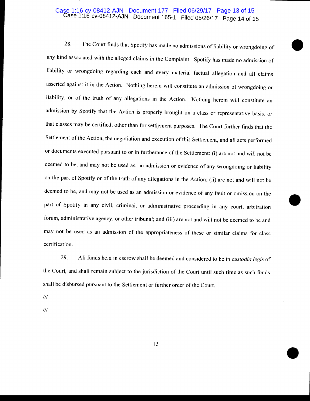#### Case 1:16-cv-08412-AJN Document 165-1 Filed 05/26/17 Page 14 of 15 Case 1:16-cv-08412-AJN Document 177 Filed 06/29/17 Page 13 of 15

•

•

•

28. The Court finds that Spotify has made no admissions of liability or wrongdoing of any kind associated with the alleged claims in the Complaint. Spotify has made no admission of liability or wrongdoing regarding each and every material factual allegation and all claims asserted against it in the Action. Nothing herein will constitute an admission of wrongdoing or liability, or of the truth of any allegations in the Action. Nothing herein will constitute an admission by Spotify that the Action is properly brought on a class or representative basis, or that classes may be certified, other than for settlement purposes. The Court further finds that the Settlement of the Action, the negotiation and execution of this Settlement, and all acts performed or documents executed pursuant to or in furtherance of the Settlement: (i) are not and will not be deemed to be, and may not be used as, an admission or evidence of any wrongdoing or liability on the part of Spotify or of the truth of any allegations in the Action; (ii) are not and will not be deemed to be, and may not be used as an admission or evidence of any fault or omission on the part of Spotify in any civil, criminal, or administrative proceeding in any court, arbitration forum, administrative agency, or other tribunal; and (iii) are not and will not be deemed to be and may not be used as an admission of the appropriateness of these or similar claims for class certification.

29. All funds held in escrow shall be deemed and considered to be in *custodia legis* of the Court, and shall remain subject to the jurisdiction of the Court until such time as such funds shall be disbursed pursuant to the Settlement or further order of the Court.

Ill

Ill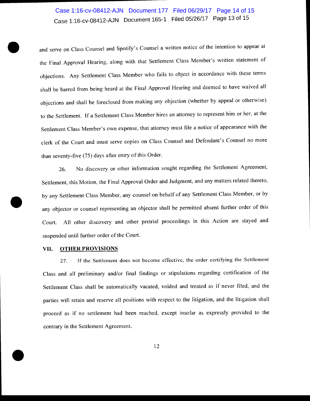# case 1:16-cv-08412-AJN Document 165-1 Filed 05/26/17 Page 13 of 15 Case 1:16-cv-08412-AJN Document 177 Filed 06/29/17 Page 14 of 15

and serve on Class Counsel and Spotify's Counsel a written notice of the intention to appear at the Final Approval Hearing, along with that Settlement Class Member's written statement of objections. Any Settlement Class Member who fails to object in accordance with these terms shall be barred from being heard at the Final Approval Hearing and deemed to have waived all objections and shall be foreclosed from making any objection (whether by appeal or otherwise) to the Settlement. If a Settlement Class Member hires an attorney to represent him or her, at the Settlement Class Member's own expense, that attorney must file a notice of appearance with the clerk of the Court and must serve copies on Class Counsel and Defendant's Counsel no more than seventy-five (75) days after entry of this Order.

26. No discovery or other information sought regarding the Settlement Agreement, Settlement, this Motion, the Final Approval Order and Judgment, and any matters related thereto, by any Settlement Class Member, any counsel on behalf of any Settlement Class Member, or by any objector or counsel representing an objector shall be permitted absent further order of this Court. All other discovery and other pretrial proceedings in this Action are stayed and suspended until further order of the Court.

#### VII. **OTHER PROVISIONS**

•

•

27. If the Settlement does not become effective, the order certifying the Settlement Class and all preliminary and/or final findings or stipulations regarding certification of the Settlement Class shall be automatically vacated, voided and treated as if never filed, and the parties will retain and reserve all positions with respect to the litigation, and the litigation shall proceed as if no settlement had been reached, except insofar as expressly provided to the contrary in the Settlement Agreement.